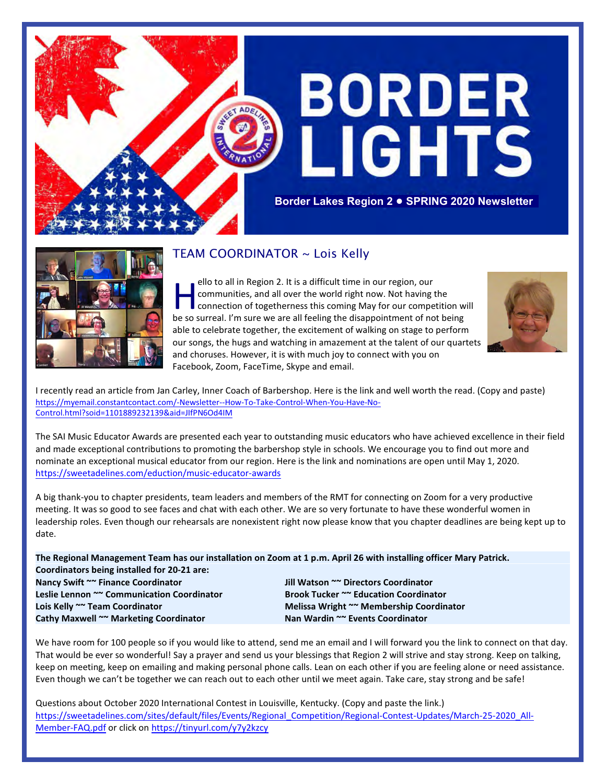



## TEAM COORDINATOR ~ Lois Kelly

ello to all in Region 2. It is a difficult time in our region, our<br>communities, and all over the world right now. Not having the<br>connection of togetherness this coming May for our competition w<br>be so surreal. I'm sure we a ello to all in Region 2. It is a difficult time in our region, our communities, and all over the world right now. Not having the **Connection of togetherness this coming May for our competition will** able to celebrate together, the excitement of walking on stage to perform our songs, the hugs and watching in amazement at the talent of our quartets and choruses. However, it is with much joy to connect with you on Facebook, Zoom, FaceTime, Skype and email.



I recently read an article from Jan Carley, Inner Coach of Barbershop. Here is the link and well worth the read. (Copy and paste) https://myemail.constantcontact.com/-Newsletter--How-To-Take-Control-When-You-Have-No-Control.html?soid=1101889232139&aid=JIfPN6Od4IM

The SAI Music Educator Awards are presented each year to outstanding music educators who have achieved excellence in their field and made exceptional contributions to promoting the barbershop style in schools. We encourage you to find out more and nominate an exceptional musical educator from our region. Here is the link and nominations are open until May 1, 2020. <https://sweetadelines.com/eduction/music-educator-awards>

A big thank-you to chapter presidents, team leaders and members of the RMT for connecting on Zoom for a very productive meeting. It was so good to see faces and chat with each other. We are so very fortunate to have these wonderful women in leadership roles. Even though our rehearsals are nonexistent right now please know that you chapter deadlines are being kept up to date.

**The Regional Management Team has our installation on Zoom at 1 p.m. April 26 with installing officer Mary Patrick. Coordinators being installed for 20-21 are: Nancy Swift ~~ Finance Coordinator Jill Watson ~~ Directors Coordinator Leslie Lennon ~~ Communication Coordinator Brook Tucker ~~ Education Coordinator Lois Kelly ~~ Team Coordinator Melissa Wright ~~ Membership Coordinator Cathy Maxwell ~~ Marketing Coordinator Nan Wardin ~~ Events Coordinator**

We have room for 100 people so if you would like to attend, send me an email and I will forward you the link to connect on that day. That would be ever so wonderful! Say a prayer and send us your blessings that Region 2 will strive and stay strong. Keep on talking, keep on meeting, keep on emailing and making personal phone calls. Lean on each other if you are feeling alone or need assistance. Even though we can't be together we can reach out to each other until we meet again. Take care, stay strong and be safe!

Questions about October 2020 International Contest in Louisville, Kentucky. (Copy and paste the link.) https://sweetadelines.com/sites/default/files/Events/Regional\_Competition/Regional-Contest-Updates/March-25-2020\_All-Member-FAQ.pdf or click on<https://tinyurl.com/y7y2kzcy>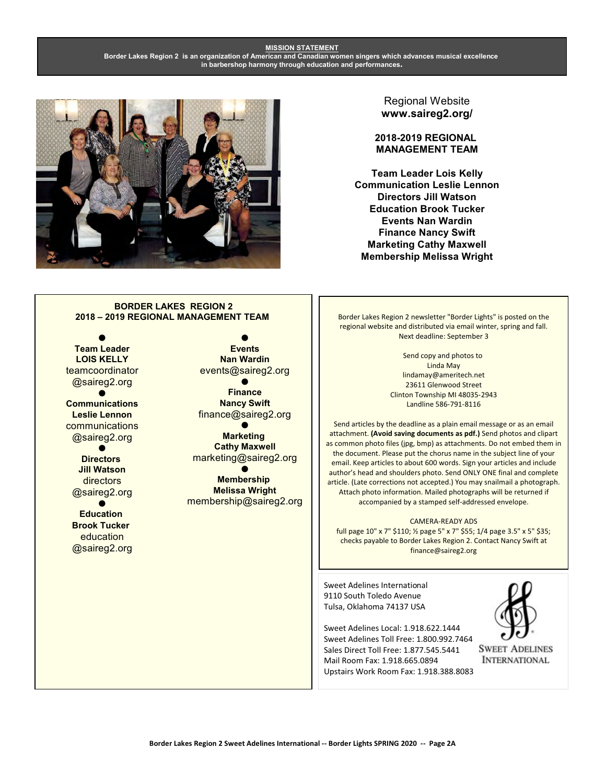#### **MISSION STATEMENT Border Lakes Region 2 is an organization of American and Canadian women singers which advances musical excellence in barbershop harmony through education and performances.**



#### Regional Website **www.saireg2.org/**

**2018-2019 REGIONAL MANAGEMENT TEAM**

**Team Leader Lois Kelly Communication Leslie Lennon Directors Jill Watson Education Brook Tucker Events Nan Wardin Finance Nancy Swift Marketing Cathy Maxwell Membership Melissa Wright**

#### **BORDER LAKES REGION 2 2018 – 2019 REGIONAL MANAGEMENT TEAM**

 $\bullet$ **Team Leader LOIS KELLY** teamcoordinator @saireg2.org  $\bullet$ **Communications Leslie Lennon** communications @saireg2.org  $\bullet$ **Directors Jill Watson** directors @saireg2.org

 $\bullet$ **Education Brook Tucker** education @saireg2.org

 $\bullet$ **Events Nan Wardin** events@saireg2.org  $\bullet$ 

**Finance Nancy Swift** finance@saireg2.org  $\bullet$ 

**Marketing Cathy Maxwell** marketing@saireg2.org

 $\bullet$ **Membership Melissa Wright** membership@saireg2.org Border Lakes Region 2 newsletter "Border Lights" is posted on the regional website and distributed via email winter, spring and fall. Next deadline: September 3

> Send copy and photos to Linda May lindamay@ameritech.net 23611 Glenwood Street Clinton Township MI 48035-2943 Landline 586-791-8116

Send articles by the deadline as a plain email message or as an email attachment. **(Avoid saving documents as pdf.)** Send photos and clipart as common photo files (jpg, bmp) as attachments. Do not embed them in the document. Please put the chorus name in the subject line of your email. Keep articles to about 600 words. Sign your articles and include author's head and shoulders photo. Send ONLY ONE final and complete article. (Late corrections not accepted.) You may snailmail a photograph. Attach photo information. Mailed photographs will be returned if accompanied by a stamped self-addressed envelope.

CAMERA-READY ADS full page 10" x 7" \$110; ½ page 5" x 7" \$55; 1/4 page 3.5" x 5" \$35; checks payable to Border Lakes Region 2. Contact Nancy Swift at finance@saireg2.org

Sweet Adelines International 9110 South Toledo Avenue Tulsa, Oklahoma 74137 USA

Sweet Adelines Local: 1.918.622.1444 Sweet Adelines Toll Free: 1.800.992.7464 Sales Direct Toll Free: 1.877.545.5441 Mail Room Fax: 1.918.665.0894 Upstairs Work Room Fax: 1.918.388.8083



**SWEET ADELINES INTERNATIONAL**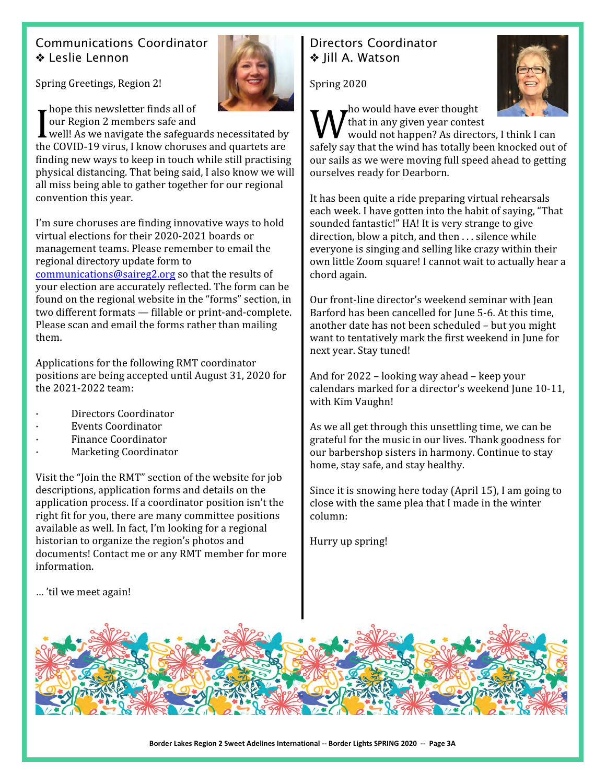# Communications Coordinator Leslie Lennon

Spring Greetings, Region 2!

hope this newsletter finds all of our Region 2 members safe and

hope this newsletter finds all of<br>
our Region 2 members safe and<br>
well! As we navigate the safeguards necessitated by<br>
the COVID 19 virus. Unow shortless and quartets are the COVID-19 virus, I know choruses and quartets are finding new ways to keep in touch while still practising physical distancing. That being said, I also know we will all miss being able to gather together for our regional convention this year.

I'm sure choruses are finding innovative ways to hold virtual elections for their 2020-2021 boards or management teams. Please remember to email the regional directory update form to [communications@saireg2.org](mailto:communications@saireg2.org) so that the results of your election are accurately reflected. The form can be found on the regional website in the "forms" section, in two different formats — fillable or print-and-complete. Please scan and email the forms rather than mailing them.

Applications for the following RMT coordinator positions are being accepted until August 31, 2020 for the 2021-2022 team:

- Directors Coordinator
- · Events Coordinator
- · Finance Coordinator
- Marketing Coordinator

Visit the "Join the RMT" section of the website for job descriptions, application forms and details on the application process. If a coordinator position isn't the right fit for you, there are many committee positions available as well. In fact, I'm looking for a regional historian to organize the region's photos and documents! Contact me or any RMT member for more information.

Directors Coordinator **Ve Iill A. Watson** 

Spring 2020



 $\mathbf{r}$ ho would have ever thought that in any given year contest

What in any given year contest<br>would not happen? As directors, I think I can<br>safely say that the wind has totally been knocked out of would not happen? As directors, I think I can our sails as we were moving full speed ahead to getting ourselves ready for Dearborn.

It has been quite a ride preparing virtual rehearsals each week. I have gotten into the habit of saying, "That sounded fantastic!" HA! It is very strange to give direction, blow a pitch, and then . . . silence while everyone is singing and selling like crazy within their own little Zoom square! I cannot wait to actually hear a chord again.

Our front-line director's weekend seminar with Jean Barford has been cancelled for June 5-6. At this time, another date has not been scheduled – but you might want to tentatively mark the first weekend in June for next year. Stay tuned!

And for 2022 – looking way ahead – keep your calendars marked for a director's weekend June 10-11, with Kim Vaughn!

As we all get through this unsettling time, we can be grateful for the music in our lives. Thank goodness for our barbershop sisters in harmony. Continue to stay home, stay safe, and stay healthy.

Since it is snowing here today (April 15), I am going to close with the same plea that I made in the winter column:

Hurry up spring!

… 'til we meet again!

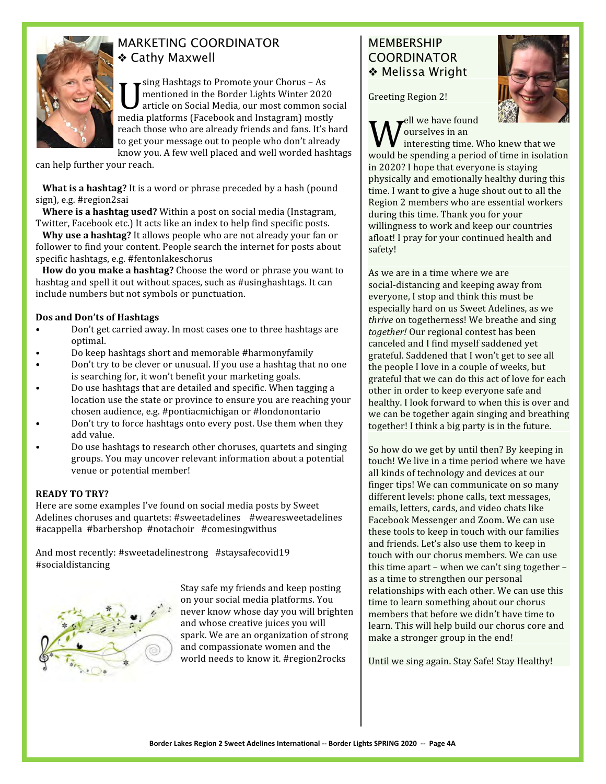

### MARKETING COORDINATOR Cathy Maxwell

U sing Hashtags to Promote your Chorus – As<br>mentioned in the Border Lights Winter 2020<br>article on Social Media, our most common so<br>media platforms (Facebook and Instagram) mostly sing Hashtags to Promote your Chorus – As mentioned in the Border Lights Winter 2020 article on Social Media, our most common social reach those who are already friends and fans. It's hard to get your message out to people who don't already know you. A few well placed and well worded hashtags

can help further your reach.

 **What is a hashtag?** It is a word or phrase preceded by a hash (pound sign), e.g. #region2sai

 **Where is a hashtag used?** Within a post on social media (Instagram, Twitter, Facebook etc.) It acts like an index to help find specific posts.

 **Why use a hashtag?** It allows people who are not already your fan or follower to find your content. People search the internet for posts about specific hashtags, e.g. #fentonlakeschorus

 **How do you make a hashtag?** Choose the word or phrase you want to hashtag and spell it out without spaces, such as #usinghashtags. It can include numbers but not symbols or punctuation.

### **Dos and Don'ts of Hashtags**

- Don't get carried away. In most cases one to three hashtags are optimal.
- Do keep hashtags short and memorable #harmonyfamily
- Don't try to be clever or unusual. If you use a hashtag that no one is searching for, it won't benefit your marketing goals.
- Do use hashtags that are detailed and specific. When tagging a location use the state or province to ensure you are reaching your chosen audience, e.g. #pontiacmichigan or #londonontario
- Don't try to force hashtags onto every post. Use them when they add value.
- Do use hashtags to research other choruses, quartets and singing groups. You may uncover relevant information about a potential venue or potential member!

#### **READY TO TRY?**

Here are some examples I've found on social media posts by Sweet Adelines choruses and quartets: #sweetadelines #wearesweetadelines #acappella #barbershop #notachoir #comesingwithus

And most recently: #sweetadelinestrong #staysafecovid19 #socialdistancing



Stay safe my friends and keep posting on your social media platforms. You never know whose day you will brighten and whose creative juices you will spark. We are an organization of strong and compassionate women and the world needs to know it. #region2rocks

### **MEMBERSHIP** COORDINATOR Melissa Wright

Greeting Region 2!



ell we have found ourselves in an

**W** ourselves in an<br>would be spending a period of time in isolation interesting time. Who knew that we in 2020? I hope that everyone is staying physically and emotionally healthy during this time. I want to give a huge shout out to all the Region 2 members who are essential workers during this time. Thank you for your willingness to work and keep our countries afloat! I pray for your continued health and safety!

As we are in a time where we are social-distancing and keeping away from everyone, I stop and think this must be especially hard on us Sweet Adelines, as we *thrive* on togetherness! We breathe and sing *together!* Our regional contest has been canceled and I find myself saddened yet grateful. Saddened that I won't get to see all the people I love in a couple of weeks, but grateful that we can do this act of love for each other in order to keep everyone safe and healthy. I look forward to when this is over and we can be together again singing and breathing together! I think a big party is in the future.

So how do we get by until then? By keeping in touch! We live in a time period where we have all kinds of technology and devices at our finger tips! We can communicate on so many different levels: phone calls, text messages, emails, letters, cards, and video chats like Facebook Messenger and Zoom. We can use these tools to keep in touch with our families and friends. Let's also use them to keep in touch with our chorus members. We can use this time apart – when we can't sing together – as a time to strengthen our personal relationships with each other. We can use this time to learn something about our chorus members that before we didn't have time to learn. This will help build our chorus core and make a stronger group in the end!

Until we sing again. Stay Safe! Stay Healthy!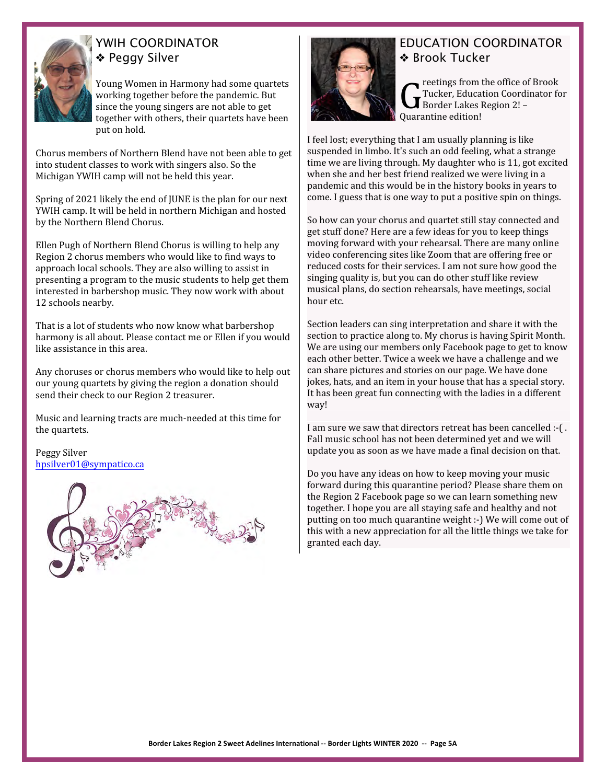

# YWIH COORDINATOR **◆ Peggy Silver**

Young Women in Harmony had some quartets working together before the pandemic. But since the young singers are not able to get together with others, their quartets have been put on hold.

Chorus members of Northern Blend have not been able to get into student classes to work with singers also. So the Michigan YWIH camp will not be held this year.

Spring of 2021 likely the end of JUNE is the plan for our next YWIH camp. It will be held in northern Michigan and hosted by the Northern Blend Chorus.

Ellen Pugh of Northern Blend Chorus is willing to help any Region 2 chorus members who would like to find ways to approach local schools. They are also willing to assist in presenting a program to the music students to help get them interested in barbershop music. They now work with about 12 schools nearby.

That is a lot of students who now know what barbershop harmony is all about. Please contact me or Ellen if you would like assistance in this area.

Any choruses or chorus members who would like to help out our young quartets by giving the region a donation should send their check to our Region 2 treasurer.

Music and learning tracts are much-needed at this time for the quartets.

Peggy Silver [hpsilver01@sympatico.ca](mailto:hpsilver01@sympatico.ca)





## EDUCATION COORDINATOR **Brook Tucker**

**C**<br>Tucker, Educat<br>Quarantine edition! reetings from the office of Brook Tucker, Education Coordinator for Border Lakes Region 2! –

I feel lost; everything that I am usually planning is like suspended in limbo. It's such an odd feeling, what a strange time we are living through. My daughter who is 11, got excited when she and her best friend realized we were living in a pandemic and this would be in the history books in years to come. I guess that is one way to put a positive spin on things.

So how can your chorus and quartet still stay connected and get stuff done? Here are a few ideas for you to keep things moving forward with your rehearsal. There are many online video conferencing sites like Zoom that are offering free or reduced costs for their services. I am not sure how good the singing quality is, but you can do other stuff like review musical plans, do section rehearsals, have meetings, social hour etc.

Section leaders can sing interpretation and share it with the section to practice along to. My chorus is having Spirit Month. We are using our members only Facebook page to get to know each other better. Twice a week we have a challenge and we can share pictures and stories on our page. We have done jokes, hats, and an item in your house that has a special story. It has been great fun connecting with the ladies in a different way!

I am sure we saw that directors retreat has been cancelled :-( . Fall music school has not been determined yet and we will update you as soon as we have made a final decision on that.

Do you have any ideas on how to keep moving your music forward during this quarantine period? Please share them on the Region 2 Facebook page so we can learn something new together. I hope you are all staying safe and healthy and not putting on too much quarantine weight :-) We will come out of this with a new appreciation for all the little things we take for granted each day.